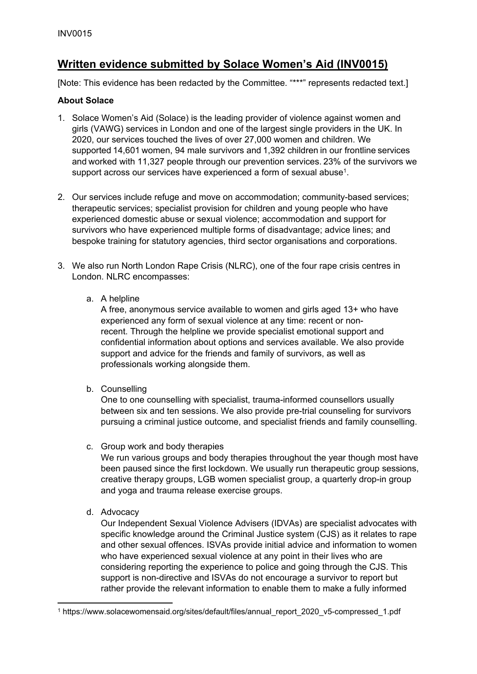# **Written evidence submitted by Solace Women's Aid (INV0015)**

[Note: This evidence has been redacted by the Committee. "\*\*\*" represents redacted text.]

### **About Solace**

- 1. Solace Women's Aid (Solace) is the leading provider of violence against women and girls (VAWG) services in London and one of the largest single providers in the UK. In 2020, our services touched the lives of over 27,000 women and children. We supported 14,601 women, 94 male survivors and 1,392 children in our frontline services and worked with 11,327 people through our prevention services. 23% of the survivors we support across our services have experienced a form of sexual abuse<sup>1</sup>.
- 2. Our services include refuge and move on accommodation; community-based services; therapeutic services; specialist provision for children and young people who have experienced domestic abuse or sexual violence; accommodation and support for survivors who have experienced multiple forms of disadvantage; advice lines; and bespoke training for statutory agencies, third sector organisations and corporations.
- 3. We also run North London Rape Crisis (NLRC), one of the four rape crisis centres in London. NLRC encompasses:

## a. A helpline

A free, anonymous service available to women and girls aged 13+ who have experienced any form of sexual violence at any time: recent or nonrecent. Through the helpline we provide specialist emotional support and confidential information about options and services available. We also provide support and advice for the friends and family of survivors, as well as professionals working alongside them.

b. Counselling

One to one counselling with specialist, trauma-informed counsellors usually between six and ten sessions. We also provide pre-trial counseling for survivors pursuing a criminal justice outcome, and specialist friends and family counselling.

#### c. Group work and body therapies

We run various groups and body therapies throughout the year though most have been paused since the first lockdown. We usually run therapeutic group sessions, creative therapy groups, LGB women specialist group, a quarterly drop-in group and yoga and trauma release exercise groups.

d. Advocacy

Our Independent Sexual Violence Advisers (IDVAs) are specialist advocates with specific knowledge around the Criminal Justice system (CJS) as it relates to rape and other sexual offences. ISVAs provide initial advice and information to women who have experienced sexual violence at any point in their lives who are considering reporting the experience to police and going through the CJS. This support is non-directive and ISVAs do not encourage a survivor to report but rather provide the relevant information to enable them to make a fully informed

<sup>1</sup> https://www.solacewomensaid.org/sites/default/files/annual\_report\_2020\_v5-compressed\_1.pdf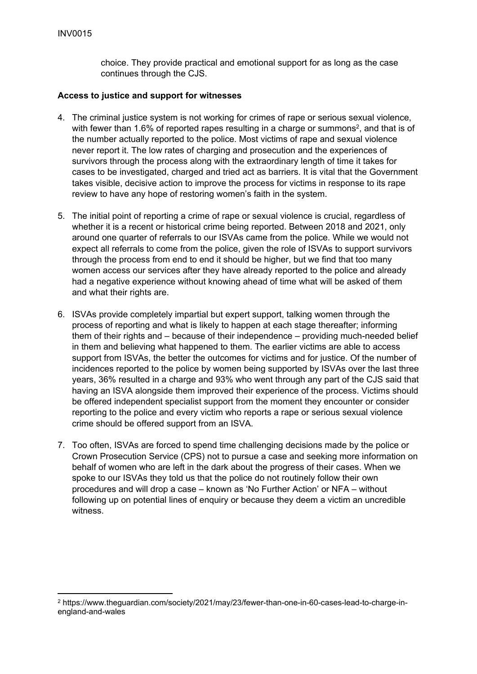choice. They provide practical and emotional support for as long as the case continues through the CJS.

#### **Access to justice and support for witnesses**

- 4. The criminal justice system is not working for crimes of rape or serious sexual violence, with fewer than 1.6% of reported rapes resulting in a charge or summons<sup>2</sup>, and that is of the number actually reported to the police. Most victims of rape and sexual violence never report it. The low rates of charging and prosecution and the experiences of survivors through the process along with the extraordinary length of time it takes for cases to be investigated, charged and tried act as barriers. It is vital that the Government takes visible, decisive action to improve the process for victims in response to its rape review to have any hope of restoring women's faith in the system.
- 5. The initial point of reporting a crime of rape or sexual violence is crucial, regardless of whether it is a recent or historical crime being reported. Between 2018 and 2021, only around one quarter of referrals to our ISVAs came from the police. While we would not expect all referrals to come from the police, given the role of ISVAs to support survivors through the process from end to end it should be higher, but we find that too many women access our services after they have already reported to the police and already had a negative experience without knowing ahead of time what will be asked of them and what their rights are.
- 6. ISVAs provide completely impartial but expert support, talking women through the process of reporting and what is likely to happen at each stage thereafter; informing them of their rights and – because of their independence – providing much-needed belief in them and believing what happened to them. The earlier victims are able to access support from ISVAs, the better the outcomes for victims and for justice. Of the number of incidences reported to the police by women being supported by ISVAs over the last three years, 36% resulted in a charge and 93% who went through any part of the CJS said that having an ISVA alongside them improved their experience of the process. Victims should be offered independent specialist support from the moment they encounter or consider reporting to the police and every victim who reports a rape or serious sexual violence crime should be offered support from an ISVA.
- 7. Too often, ISVAs are forced to spend time challenging decisions made by the police or Crown Prosecution Service (CPS) not to pursue a case and seeking more information on behalf of women who are left in the dark about the progress of their cases. When we spoke to our ISVAs they told us that the police do not routinely follow their own procedures and will drop a case – known as 'No Further Action' or NFA – without following up on potential lines of enquiry or because they deem a victim an uncredible witness.

<sup>2</sup> https://www.theguardian.com/society/2021/may/23/fewer-than-one-in-60-cases-lead-to-charge-inengland-and-wales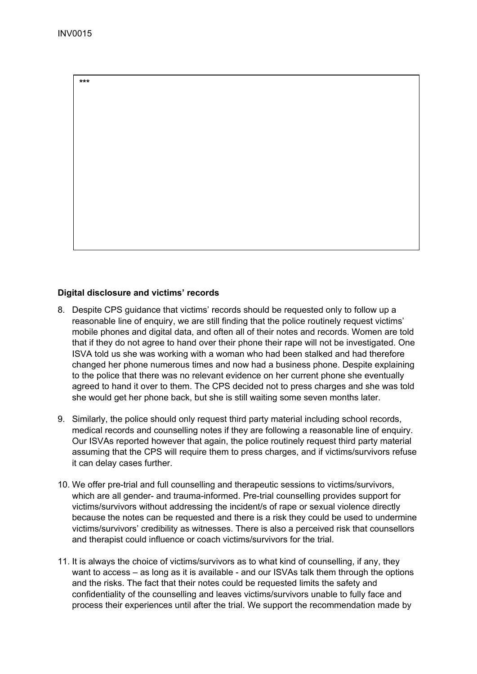**\*\*\***

# **Digital disclosure and victims' records**

- 8. Despite CPS guidance that victims' records should be requested only to follow up a reasonable line of enquiry, we are still finding that the police routinely request victims' mobile phones and digital data, and often all of their notes and records. Women are told that if they do not agree to hand over their phone their rape will not be investigated. One ISVA told us she was working with a woman who had been stalked and had therefore changed her phone numerous times and now had a business phone. Despite explaining to the police that there was no relevant evidence on her current phone she eventually agreed to hand it over to them. The CPS decided not to press charges and she was told she would get her phone back, but she is still waiting some seven months later.
- 9. Similarly, the police should only request third party material including school records, medical records and counselling notes if they are following a reasonable line of enquiry. Our ISVAs reported however that again, the police routinely request third party material assuming that the CPS will require them to press charges, and if victims/survivors refuse it can delay cases further.
- 10. We offer pre-trial and full counselling and therapeutic sessions to victims/survivors, which are all gender- and trauma-informed. Pre-trial counselling provides support for victims/survivors without addressing the incident/s of rape or sexual violence directly because the notes can be requested and there is a risk they could be used to undermine victims/survivors' credibility as witnesses. There is also a perceived risk that counsellors and therapist could influence or coach victims/survivors for the trial.
- 11. It is always the choice of victims/survivors as to what kind of counselling, if any, they want to access – as long as it is available - and our ISVAs talk them through the options and the risks. The fact that their notes could be requested limits the safety and confidentiality of the counselling and leaves victims/survivors unable to fully face and process their experiences until after the trial. We support the recommendation made by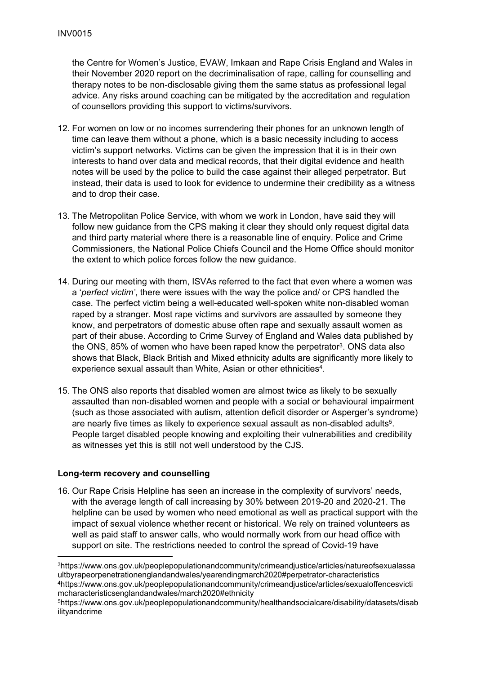the Centre for Women's Justice, EVAW, Imkaan and Rape Crisis England and Wales in their November 2020 report on the decriminalisation of rape, calling for counselling and therapy notes to be non-disclosable giving them the same status as professional legal advice. Any risks around coaching can be mitigated by the accreditation and regulation of counsellors providing this support to victims/survivors.

- 12. For women on low or no incomes surrendering their phones for an unknown length of time can leave them without a phone, which is a basic necessity including to access victim's support networks. Victims can be given the impression that it is in their own interests to hand over data and medical records, that their digital evidence and health notes will be used by the police to build the case against their alleged perpetrator. But instead, their data is used to look for evidence to undermine their credibility as a witness and to drop their case.
- 13. The Metropolitan Police Service, with whom we work in London, have said they will follow new guidance from the CPS making it clear they should only request digital data and third party material where there is a reasonable line of enquiry. Police and Crime Commissioners, the National Police Chiefs Council and the Home Office should monitor the extent to which police forces follow the new guidance.
- 14. During our meeting with them, ISVAs referred to the fact that even where a women was a '*perfect victim'*, there were issues with the way the police and/ or CPS handled the case. The perfect victim being a well-educated well-spoken white non-disabled woman raped by a stranger. Most rape victims and survivors are assaulted by someone they know, and perpetrators of domestic abuse often rape and sexually assault women as part of their abuse. According to Crime Survey of England and Wales data published by the ONS, 85% of women who have been raped know the perpetrator<sup>3</sup>. ONS data also shows that Black, Black British and Mixed ethnicity adults are significantly more likely to experience sexual assault than White, Asian or other ethnicities<sup>4</sup>.
- 15. The ONS also reports that disabled women are almost twice as likely to be sexually assaulted than non-disabled women and people with a social or behavioural impairment (such as those associated with autism, attention deficit disorder or Asperger's syndrome) are nearly five times as likely to experience sexual assault as non-disabled adults<sup>5</sup>. People target disabled people knowing and exploiting their vulnerabilities and credibility as witnesses yet this is still not well understood by the CJS.

#### **Long-term recovery and counselling**

16. Our Rape Crisis Helpline has seen an increase in the complexity of survivors' needs, with the average length of call increasing by 30% between 2019-20 and 2020-21. The helpline can be used by women who need emotional as well as practical support with the impact of sexual violence whether recent or historical. We rely on trained volunteers as well as paid staff to answer calls, who would normally work from our head office with support on site. The restrictions needed to control the spread of Covid-19 have

<sup>3</sup>https://www.ons.gov.uk/peoplepopulationandcommunity/crimeandjustice/articles/natureofsexualassa ultbyrapeorpenetrationenglandandwales/yearendingmarch2020#perpetrator-characteristics <sup>4</sup>https://www.ons.gov.uk/peoplepopulationandcommunity/crimeandjustice/articles/sexualoffencesvicti mcharacteristicsenglandandwales/march2020#ethnicity

<sup>5</sup>https://www.ons.gov.uk/peoplepopulationandcommunity/healthandsocialcare/disability/datasets/disab ilityandcrime